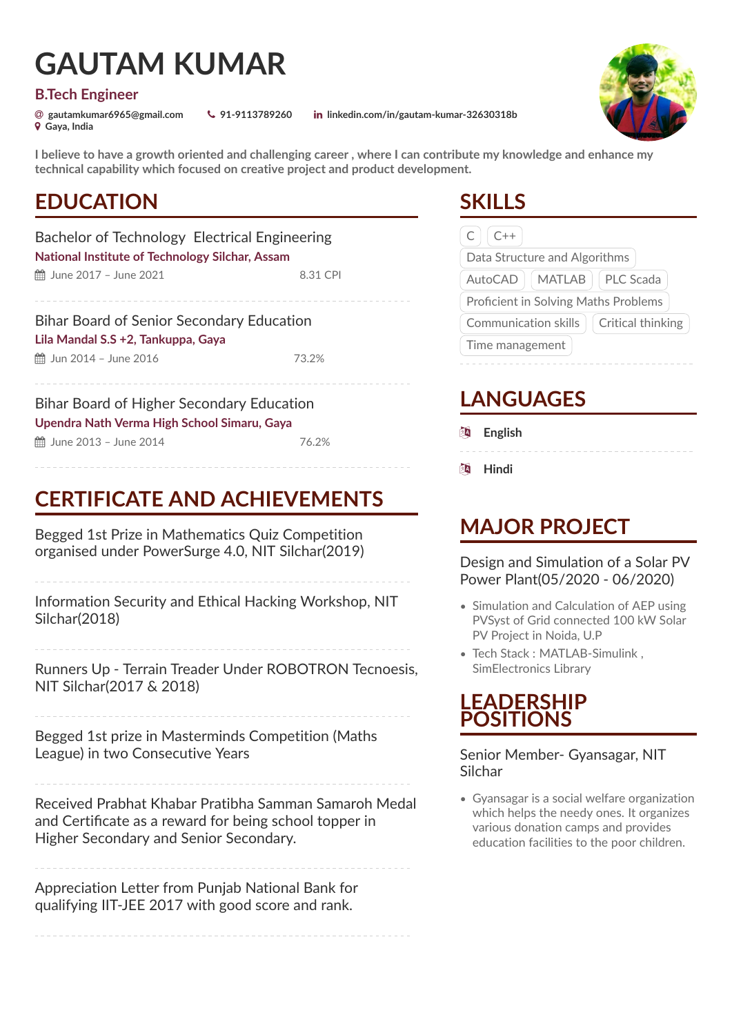# **GAUTAM KUMAR**

#### **B.Tech Engineer**

½ **Gaya, India**

[ **gautamkumar6965@gmail.com** Ó **91-9113789260** ¯ **linkedin.com/in/gautam-kumar-32630318b**

**I believe to have a growth oriented and challenging career , where I can contribute my knowledge and enhance my technical capability which focused on creative project and product development.**

### **EDUCATION**

Bachelor of Technology Electrical Engineering **National Institute of Technology Silchar, Assam**  $\hat{m}$  June 2017 – June 2021 8.31 CPI

Bihar Board of Senior Secondary Education **Lila Mandal S.S +2, Tankuppa, Gaya 曲** Jun 2014 – June 2016 73.2%

Bihar Board of Higher Secondary Education **Upendra Nath Verma High School Simaru, Gaya ■ June 2013 – June 2014** 76.2%

## **CERTIFICATE AND ACHIEVEMENTS**

Begged 1st Prize in Mathematics Quiz Competition organised under PowerSurge 4.0, NIT Silchar(2019)

Information Security and Ethical Hacking Workshop, NIT Silchar(2018)

Runners Up - Terrain Treader Under ROBOTRON Tecnoesis, NIT Silchar(2017 & 2018)

Begged 1st prize in Masterminds Competition (Maths League) in two Consecutive Years

Received Prabhat Khabar Pratibha Samman Samaroh Medal and Certificate as a reward for being school topper in Higher Secondary and Senior Secondary.

Appreciation Letter from Punjab National Bank for qualifying IIT-JEE 2017 with good score and rank.

### **SKILLS**

| $C++$                                    |  |  |
|------------------------------------------|--|--|
| Data Structure and Algorithms            |  |  |
| MATLAB     PLC Scada<br>AutoCAD          |  |  |
| Proficient in Solving Maths Problems     |  |  |
| Communication skills   Critical thinking |  |  |
| Time management                          |  |  |

## **LANGUAGES**

- **图 English**
- $**$\blacksquare$  Hindi**$

### **MAJOR PROJECT**

Design and Simulation of a Solar PV Power Plant(05/2020 - 06/2020)

- Simulation and Calculation of AEP using PVSyst of Grid connected 100 kW Solar PV Project in Noida, U.P
- Tech Stack : MATLAB-Simulink , SimElectronics Library

### **LEADERSHIP POSITIONS**

Senior Member- Gyansagar, NIT Silchar

• Gyansagar is a social welfare organization which helps the needy ones. It organizes various donation camps and provides education facilities to the poor children.